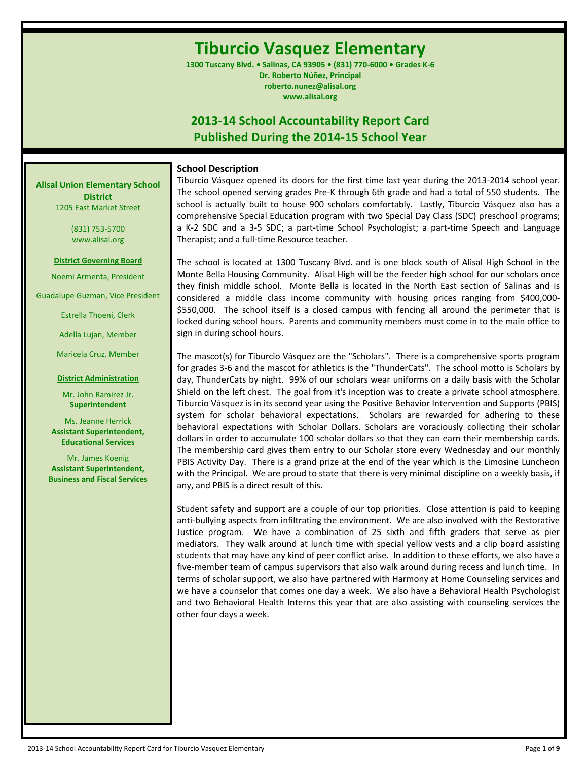# **Tiburcio Vasquez Elementary**

**1300 Tuscany Blvd. • Salinas, CA 93905 • (831) 770-6000 • Grades K-6 Dr. Roberto Núñez, Principal roberto.nunez@alisal.org www.alisal.org**

# **2013-14 School Accountability Report Card Published During the 2014-15 School Year**

#### **School Description**

**Alisal Union Elementary School District** 1205 East Market Street

> (831) 753-5700 www.alisal.org

**District Governing Board**

Noemi Armenta, President

Guadalupe Guzman, Vice President

Estrella Thoeni, Clerk

Adella Lujan, Member

Maricela Cruz, Member

**District Administration**

Mr. John Ramirez Jr. **Superintendent**

Ms. Jeanne Herrick **Assistant Superintendent, Educational Services**

Mr. James Koenig **Assistant Superintendent, Business and Fiscal Services** Tiburcio Vásquez opened its doors for the first time last year during the 2013-2014 school year. The school opened serving grades Pre-K through 6th grade and had a total of 550 students. The school is actually built to house 900 scholars comfortably. Lastly, Tiburcio Vásquez also has a comprehensive Special Education program with two Special Day Class (SDC) preschool programs; a K-2 SDC and a 3-5 SDC; a part-time School Psychologist; a part-time Speech and Language Therapist; and a full-time Resource teacher.

The school is located at 1300 Tuscany Blvd. and is one block south of Alisal High School in the Monte Bella Housing Community. Alisal High will be the feeder high school for our scholars once they finish middle school. Monte Bella is located in the North East section of Salinas and is considered a middle class income community with housing prices ranging from \$400,000- \$550,000. The school itself is a closed campus with fencing all around the perimeter that is locked during school hours. Parents and community members must come in to the main office to sign in during school hours.

The mascot(s) for Tiburcio Vásquez are the "Scholars". There is a comprehensive sports program for grades 3-6 and the mascot for athletics is the "ThunderCats". The school motto is Scholars by day, ThunderCats by night. 99% of our scholars wear uniforms on a daily basis with the Scholar Shield on the left chest. The goal from it's inception was to create a private school atmosphere. Tiburcio Vásquez is in its second year using the Positive Behavior Intervention and Supports (PBIS) system for scholar behavioral expectations. Scholars are rewarded for adhering to these behavioral expectations with Scholar Dollars. Scholars are voraciously collecting their scholar dollars in order to accumulate 100 scholar dollars so that they can earn their membership cards. The membership card gives them entry to our Scholar store every Wednesday and our monthly PBIS Activity Day. There is a grand prize at the end of the year which is the Limosine Luncheon with the Principal. We are proud to state that there is very minimal discipline on a weekly basis, if any, and PBIS is a direct result of this.

Student safety and support are a couple of our top priorities. Close attention is paid to keeping anti-bullying aspects from infiltrating the environment. We are also involved with the Restorative Justice program. We have a combination of 25 sixth and fifth graders that serve as pier mediators. They walk around at lunch time with special yellow vests and a clip board assisting students that may have any kind of peer conflict arise. In addition to these efforts, we also have a five-member team of campus supervisors that also walk around during recess and lunch time. In terms of scholar support, we also have partnered with Harmony at Home Counseling services and we have a counselor that comes one day a week. We also have a Behavioral Health Psychologist and two Behavioral Health Interns this year that are also assisting with counseling services the other four days a week.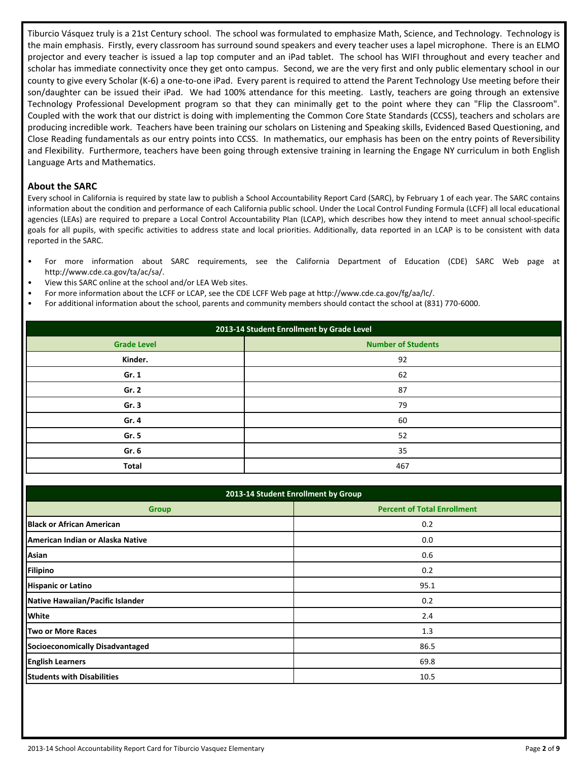Tiburcio Vásquez truly is a 21st Century school. The school was formulated to emphasize Math, Science, and Technology. Technology is the main emphasis. Firstly, every classroom has surround sound speakers and every teacher uses a lapel microphone. There is an ELMO projector and every teacher is issued a lap top computer and an iPad tablet. The school has WIFI throughout and every teacher and scholar has immediate connectivity once they get onto campus. Second, we are the very first and only public elementary school in our county to give every Scholar (K-6) a one-to-one iPad. Every parent is required to attend the Parent Technology Use meeting before their son/daughter can be issued their iPad. We had 100% attendance for this meeting. Lastly, teachers are going through an extensive Technology Professional Development program so that they can minimally get to the point where they can "Flip the Classroom". Coupled with the work that our district is doing with implementing the Common Core State Standards (CCSS), teachers and scholars are producing incredible work. Teachers have been training our scholars on Listening and Speaking skills, Evidenced Based Questioning, and Close Reading fundamentals as our entry points into CCSS. In mathematics, our emphasis has been on the entry points of Reversibility and Flexibility. Furthermore, teachers have been going through extensive training in learning the Engage NY curriculum in both English Language Arts and Mathematics.

#### **About the SARC**

Every school in California is required by state law to publish a School Accountability Report Card (SARC), by February 1 of each year. The SARC contains information about the condition and performance of each California public school. Under the Local Control Funding Formula (LCFF) all local educational agencies (LEAs) are required to prepare a Local Control Accountability Plan (LCAP), which describes how they intend to meet annual school-specific goals for all pupils, with specific activities to address state and local priorities. Additionally, data reported in an LCAP is to be consistent with data reported in the SARC.

- For more information about SARC requirements, see the California Department of Education (CDE) SARC Web page at http://www.cde.ca.gov/ta/ac/sa/.
- View this SARC online at the school and/or LEA Web sites.
- For more information about the LCFF or LCAP, see the CDE LCFF Web page at http://www.cde.ca.gov/fg/aa/lc/.
- For additional information about the school, parents and community members should contact the school at (831) 770-6000.

| 2013-14 Student Enrollment by Grade Level |                           |  |  |  |  |
|-------------------------------------------|---------------------------|--|--|--|--|
| <b>Grade Level</b>                        | <b>Number of Students</b> |  |  |  |  |
| Kinder.                                   | 92                        |  |  |  |  |
| Gr. 1                                     | 62                        |  |  |  |  |
| Gr. 2                                     | 87                        |  |  |  |  |
| Gr. 3                                     | 79                        |  |  |  |  |
| Gr. 4                                     | 60                        |  |  |  |  |
| Gr. 5                                     | 52                        |  |  |  |  |
| Gr. 6                                     | 35                        |  |  |  |  |
| <b>Total</b>                              | 467                       |  |  |  |  |

| 2013-14 Student Enrollment by Group      |                                    |  |  |  |  |  |  |
|------------------------------------------|------------------------------------|--|--|--|--|--|--|
| <b>Group</b>                             | <b>Percent of Total Enrollment</b> |  |  |  |  |  |  |
| <b>Black or African American</b>         | 0.2                                |  |  |  |  |  |  |
| <b>IAmerican Indian or Alaska Native</b> | 0.0                                |  |  |  |  |  |  |
| Asian                                    | 0.6                                |  |  |  |  |  |  |
| Filipino                                 | 0.2                                |  |  |  |  |  |  |
| <b>Hispanic or Latino</b>                | 95.1                               |  |  |  |  |  |  |
| Native Hawaiian/Pacific Islander         | 0.2                                |  |  |  |  |  |  |
| <b>White</b>                             | 2.4                                |  |  |  |  |  |  |
| Two or More Races                        | 1.3                                |  |  |  |  |  |  |
| <b>Socioeconomically Disadvantaged</b>   | 86.5                               |  |  |  |  |  |  |
| <b>English Learners</b>                  | 69.8                               |  |  |  |  |  |  |
| <b>Students with Disabilities</b>        | 10.5                               |  |  |  |  |  |  |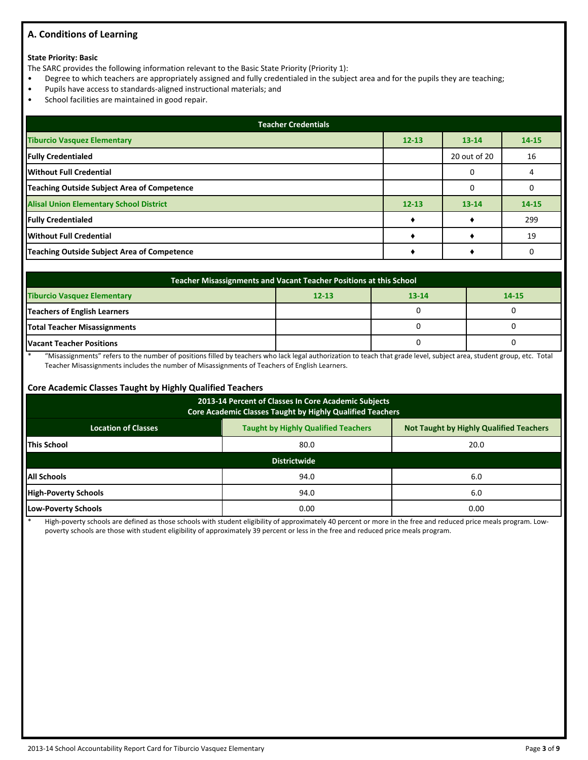## **A. Conditions of Learning**

#### **State Priority: Basic**

The SARC provides the following information relevant to the Basic State Priority (Priority 1):

- Degree to which teachers are appropriately assigned and fully credentialed in the subject area and for the pupils they are teaching;
- Pupils have access to standards-aligned instructional materials; and
- School facilities are maintained in good repair.

| <b>Teacher Credentials</b>                         |           |              |           |  |  |  |  |  |
|----------------------------------------------------|-----------|--------------|-----------|--|--|--|--|--|
| <b>Tiburcio Vasquez Elementary</b>                 | $12 - 13$ | $13 - 14$    | $14 - 15$ |  |  |  |  |  |
| <b>Fully Credentialed</b>                          |           | 20 out of 20 | 16        |  |  |  |  |  |
| Without Full Credential                            |           |              |           |  |  |  |  |  |
| <b>Teaching Outside Subject Area of Competence</b> |           | $\Omega$     |           |  |  |  |  |  |
| <b>Alisal Union Elementary School District</b>     | $12 - 13$ | $13 - 14$    | $14 - 15$ |  |  |  |  |  |
| <b>Fully Credentialed</b>                          |           |              | 299       |  |  |  |  |  |
| Without Full Credential                            |           |              | 19        |  |  |  |  |  |
| <b>Teaching Outside Subject Area of Competence</b> |           |              |           |  |  |  |  |  |

| <b>Teacher Misassignments and Vacant Teacher Positions at this School</b> |  |  |  |  |  |  |  |  |  |
|---------------------------------------------------------------------------|--|--|--|--|--|--|--|--|--|
| <b>Tiburcio Vasquez Elementary</b><br>$12 - 13$<br>14-15<br>$13 - 14$     |  |  |  |  |  |  |  |  |  |
| <b>Teachers of English Learners</b>                                       |  |  |  |  |  |  |  |  |  |
| Total Teacher Misassignments                                              |  |  |  |  |  |  |  |  |  |
| <b>Vacant Teacher Positions</b>                                           |  |  |  |  |  |  |  |  |  |

\* "Misassignments" refers to the number of positions filled by teachers who lack legal authorization to teach that grade level, subject area, student group, etc. Total Teacher Misassignments includes the number of Misassignments of Teachers of English Learners.

#### **Core Academic Classes Taught by Highly Qualified Teachers**

| 2013-14 Percent of Classes In Core Academic Subjects<br>Core Academic Classes Taught by Highly Qualified Teachers          |                     |      |  |  |  |  |  |  |
|----------------------------------------------------------------------------------------------------------------------------|---------------------|------|--|--|--|--|--|--|
| <b>Taught by Highly Qualified Teachers</b><br><b>Not Taught by Highly Qualified Teachers</b><br><b>Location of Classes</b> |                     |      |  |  |  |  |  |  |
| <b>This School</b>                                                                                                         | 80.0                | 20.0 |  |  |  |  |  |  |
|                                                                                                                            | <b>Districtwide</b> |      |  |  |  |  |  |  |
| <b>All Schools</b>                                                                                                         | 94.0                | 6.0  |  |  |  |  |  |  |
| <b>High-Poverty Schools</b>                                                                                                | 94.0                | 6.0  |  |  |  |  |  |  |
| <b>Low-Poverty Schools</b>                                                                                                 | 0.00                |      |  |  |  |  |  |  |

High-poverty schools are defined as those schools with student eligibility of approximately 40 percent or more in the free and reduced price meals program. Lowpoverty schools are those with student eligibility of approximately 39 percent or less in the free and reduced price meals program.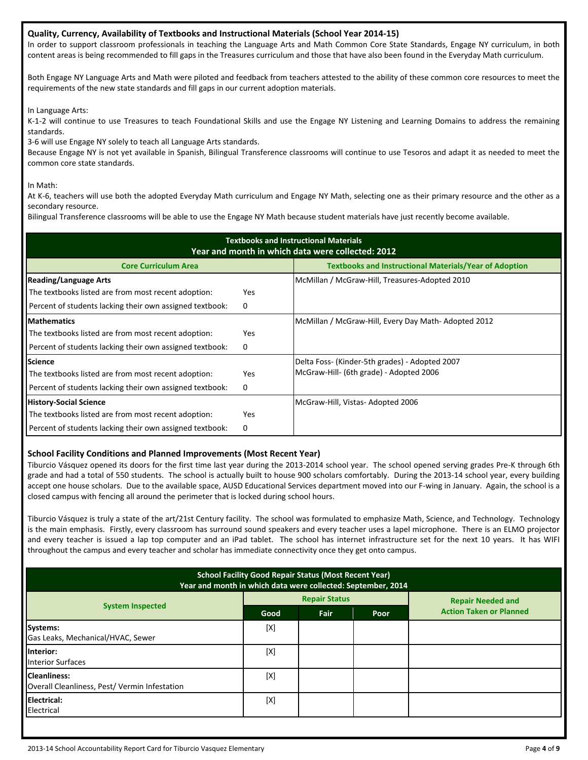#### **Quality, Currency, Availability of Textbooks and Instructional Materials (School Year 2014-15)**

In order to support classroom professionals in teaching the Language Arts and Math Common Core State Standards, Engage NY curriculum, in both content areas is being recommended to fill gaps in the Treasures curriculum and those that have also been found in the Everyday Math curriculum.

Both Engage NY Language Arts and Math were piloted and feedback from teachers attested to the ability of these common core resources to meet the requirements of the new state standards and fill gaps in our current adoption materials.

In Language Arts:

K-1-2 will continue to use Treasures to teach Foundational Skills and use the Engage NY Listening and Learning Domains to address the remaining standards.

3-6 will use Engage NY solely to teach all Language Arts standards.

Because Engage NY is not yet available in Spanish, Bilingual Transference classrooms will continue to use Tesoros and adapt it as needed to meet the common core state standards.

In Math:

At K-6, teachers will use both the adopted Everyday Math curriculum and Engage NY Math, selecting one as their primary resource and the other as a secondary resource.

Bilingual Transference classrooms will be able to use the Engage NY Math because student materials have just recently become available.

| <b>Textbooks and Instructional Materials</b><br>Year and month in which data were collected: 2012 |            |                                                               |  |  |  |  |  |  |
|---------------------------------------------------------------------------------------------------|------------|---------------------------------------------------------------|--|--|--|--|--|--|
| <b>Core Curriculum Area</b>                                                                       |            | <b>Textbooks and Instructional Materials/Year of Adoption</b> |  |  |  |  |  |  |
| <b>Reading/Language Arts</b>                                                                      |            | McMillan / McGraw-Hill, Treasures-Adopted 2010                |  |  |  |  |  |  |
| The textbooks listed are from most recent adoption:                                               | <b>Yes</b> |                                                               |  |  |  |  |  |  |
| Percent of students lacking their own assigned textbook:                                          | 0          |                                                               |  |  |  |  |  |  |
| <b>Mathematics</b>                                                                                |            | McMillan / McGraw-Hill, Every Day Math-Adopted 2012           |  |  |  |  |  |  |
| The textbooks listed are from most recent adoption:                                               | <b>Yes</b> |                                                               |  |  |  |  |  |  |
| Percent of students lacking their own assigned textbook:                                          | 0          |                                                               |  |  |  |  |  |  |
| <b>Science</b>                                                                                    |            | Delta Foss- (Kinder-5th grades) - Adopted 2007                |  |  |  |  |  |  |
| The textbooks listed are from most recent adoption:                                               | <b>Yes</b> | McGraw-Hill- (6th grade) - Adopted 2006                       |  |  |  |  |  |  |
| Percent of students lacking their own assigned textbook:                                          | 0          |                                                               |  |  |  |  |  |  |
| <b>History-Social Science</b>                                                                     |            | McGraw-Hill, Vistas-Adopted 2006                              |  |  |  |  |  |  |
| The textbooks listed are from most recent adoption:                                               | <b>Yes</b> |                                                               |  |  |  |  |  |  |
| Percent of students lacking their own assigned textbook:                                          | 0          |                                                               |  |  |  |  |  |  |

#### **School Facility Conditions and Planned Improvements (Most Recent Year)**

Tiburcio Vásquez opened its doors for the first time last year during the 2013-2014 school year. The school opened serving grades Pre-K through 6th grade and had a total of 550 students. The school is actually built to house 900 scholars comfortably. During the 2013-14 school year, every building accept one house scholars. Due to the available space, AUSD Educational Services department moved into our F-wing in January. Again, the school is a closed campus with fencing all around the perimeter that is locked during school hours.

Tiburcio Vásquez is truly a state of the art/21st Century facility. The school was formulated to emphasize Math, Science, and Technology. Technology is the main emphasis. Firstly, every classroom has surround sound speakers and every teacher uses a lapel microphone. There is an ELMO projector and every teacher is issued a lap top computer and an iPad tablet. The school has internet infrastructure set for the next 10 years. It has WIFI throughout the campus and every teacher and scholar has immediate connectivity once they get onto campus.

| <b>School Facility Good Repair Status (Most Recent Year)</b><br>Year and month in which data were collected: September, 2014 |      |                      |      |                                |  |  |  |
|------------------------------------------------------------------------------------------------------------------------------|------|----------------------|------|--------------------------------|--|--|--|
|                                                                                                                              |      | <b>Repair Status</b> |      | <b>Repair Needed and</b>       |  |  |  |
| <b>System Inspected</b>                                                                                                      | Good | Fair                 | Poor | <b>Action Taken or Planned</b> |  |  |  |
| Systems:<br>Gas Leaks, Mechanical/HVAC, Sewer                                                                                | [X]  |                      |      |                                |  |  |  |
| Interior:<br><b>Interior Surfaces</b>                                                                                        | [X]  |                      |      |                                |  |  |  |
| <b>Cleanliness:</b><br>Overall Cleanliness, Pest/Vermin Infestation                                                          | [X]  |                      |      |                                |  |  |  |
| <b>Electrical:</b><br>Electrical                                                                                             | [X]  |                      |      |                                |  |  |  |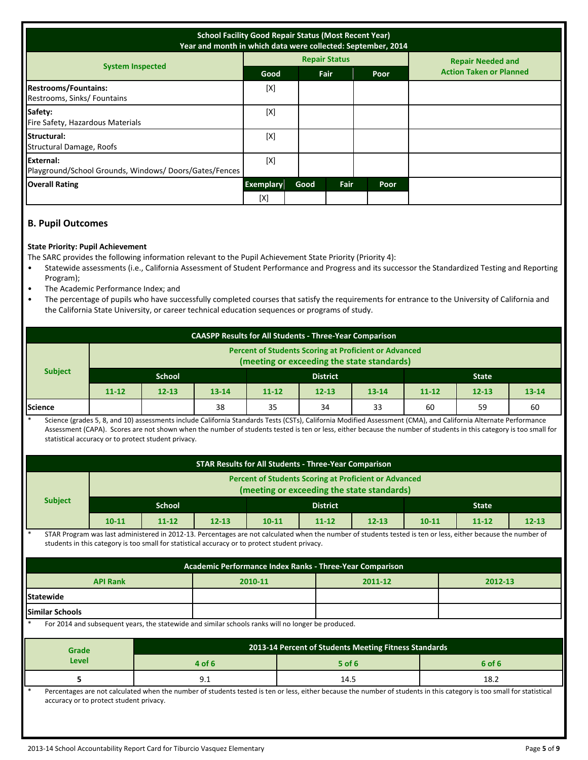| <b>School Facility Good Repair Status (Most Recent Year)</b><br>Year and month in which data were collected: September, 2014 |                         |      |                      |      |                                |  |
|------------------------------------------------------------------------------------------------------------------------------|-------------------------|------|----------------------|------|--------------------------------|--|
|                                                                                                                              |                         |      | <b>Repair Status</b> |      | <b>Repair Needed and</b>       |  |
| <b>System Inspected</b>                                                                                                      | Good                    | Fair |                      | Poor | <b>Action Taken or Planned</b> |  |
| <b>Restrooms/Fountains:</b><br>Restrooms, Sinks/Fountains                                                                    | [X]                     |      |                      |      |                                |  |
| Safety:<br>Fire Safety, Hazardous Materials                                                                                  | [X]                     |      |                      |      |                                |  |
| <b>Structural:</b><br>Structural Damage, Roofs                                                                               | [X]                     |      |                      |      |                                |  |
| External:<br>Playground/School Grounds, Windows/Doors/Gates/Fences                                                           | [X]                     |      |                      |      |                                |  |
| <b>Overall Rating</b>                                                                                                        | <b>Exemplary</b><br>[X] | Good | Fair                 | Poor |                                |  |

# **B. Pupil Outcomes**

#### **State Priority: Pupil Achievement**

The SARC provides the following information relevant to the Pupil Achievement State Priority (Priority 4):

- Statewide assessments (i.e., California Assessment of Student Performance and Progress and its successor the Standardized Testing and Reporting Program);
- The Academic Performance Index; and
- The percentage of pupils who have successfully completed courses that satisfy the requirements for entrance to the University of California and the California State University, or career technical education sequences or programs of study.

| <b>CAASPP Results for All Students - Three-Year Comparison</b> |                                                                                                            |           |           |           |           |           |           |              |           |
|----------------------------------------------------------------|------------------------------------------------------------------------------------------------------------|-----------|-----------|-----------|-----------|-----------|-----------|--------------|-----------|
|                                                                | <b>Percent of Students Scoring at Proficient or Advanced</b><br>(meeting or exceeding the state standards) |           |           |           |           |           |           |              |           |
| <b>Subject</b>                                                 | <b>School</b><br><b>District</b>                                                                           |           |           |           |           |           |           | <b>State</b> |           |
|                                                                | $11 - 12$                                                                                                  | $12 - 13$ | $13 - 14$ | $11 - 12$ | $12 - 13$ | $13 - 14$ | $11 - 12$ | $12 - 13$    | $13 - 14$ |
| <b>Science</b>                                                 |                                                                                                            |           | 38        | 35        | 34        | 33        | 60        | 59           | 60        |

Science (grades 5, 8, and 10) assessments include California Standards Tests (CSTs), California Modified Assessment (CMA), and California Alternate Performance Assessment (CAPA). Scores are not shown when the number of students tested is ten or less, either because the number of students in this category is too small for statistical accuracy or to protect student privacy.

| <b>STAR Results for All Students - Three-Year Comparison</b>                                                                                                                                                                                                              |                                         |               |                              |                                                                                                    |                                                       |           |           |                                                                                                                                                                       |           |
|---------------------------------------------------------------------------------------------------------------------------------------------------------------------------------------------------------------------------------------------------------------------------|-----------------------------------------|---------------|------------------------------|----------------------------------------------------------------------------------------------------|-------------------------------------------------------|-----------|-----------|-----------------------------------------------------------------------------------------------------------------------------------------------------------------------|-----------|
| <b>Percent of Students Scoring at Proficient or Advanced</b><br>(meeting or exceeding the state standards)                                                                                                                                                                |                                         |               |                              |                                                                                                    |                                                       |           |           |                                                                                                                                                                       |           |
| <b>Subject</b>                                                                                                                                                                                                                                                            |                                         | <b>School</b> |                              |                                                                                                    | <b>District</b>                                       |           |           | <b>State</b>                                                                                                                                                          |           |
|                                                                                                                                                                                                                                                                           | $10 - 11$                               | $11 - 12$     | $12 - 13$                    | $10 - 11$                                                                                          | $11 - 12$                                             | $12 - 13$ | $10 - 11$ | $11 - 12$                                                                                                                                                             | $12 - 13$ |
| $\ast$<br>STAR Program was last administered in 2012-13. Percentages are not calculated when the number of students tested is ten or less, either because the number of<br>students in this category is too small for statistical accuracy or to protect student privacy. |                                         |               |                              |                                                                                                    |                                                       |           |           |                                                                                                                                                                       |           |
|                                                                                                                                                                                                                                                                           |                                         |               |                              | Academic Performance Index Ranks - Three-Year Comparison                                           |                                                       |           |           |                                                                                                                                                                       |           |
|                                                                                                                                                                                                                                                                           | <b>API Rank</b>                         |               |                              | 2010-11<br>2011-12                                                                                 |                                                       | 2012-13   |           |                                                                                                                                                                       |           |
| <b>Statewide</b>                                                                                                                                                                                                                                                          |                                         |               |                              |                                                                                                    |                                                       |           |           |                                                                                                                                                                       |           |
| <b>Similar Schools</b>                                                                                                                                                                                                                                                    |                                         |               |                              |                                                                                                    |                                                       |           |           |                                                                                                                                                                       |           |
|                                                                                                                                                                                                                                                                           |                                         |               |                              | For 2014 and subsequent years, the statewide and similar schools ranks will no longer be produced. |                                                       |           |           |                                                                                                                                                                       |           |
| Grade                                                                                                                                                                                                                                                                     |                                         |               |                              |                                                                                                    | 2013-14 Percent of Students Meeting Fitness Standards |           |           |                                                                                                                                                                       |           |
| Level                                                                                                                                                                                                                                                                     |                                         |               | 4 of 6<br>$5$ of 6<br>6 of 6 |                                                                                                    |                                                       |           |           |                                                                                                                                                                       |           |
| 5.                                                                                                                                                                                                                                                                        |                                         |               | 9.1                          | 14.5<br>18.2                                                                                       |                                                       |           |           |                                                                                                                                                                       |           |
| $\ast$                                                                                                                                                                                                                                                                    | accuracy or to protect student privacy. |               |                              |                                                                                                    |                                                       |           |           | Percentages are not calculated when the number of students tested is ten or less, either because the number of students in this category is too small for statistical |           |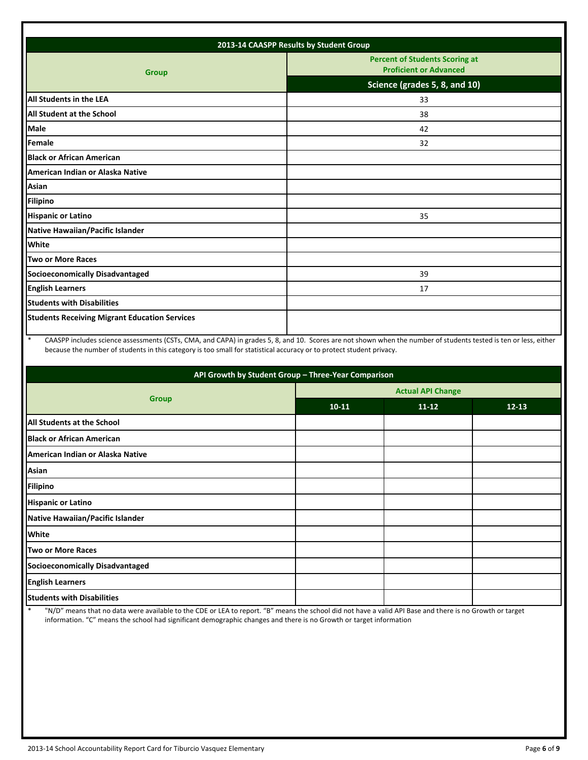| 2013-14 CAASPP Results by Student Group              |                                                                        |  |  |  |  |  |  |
|------------------------------------------------------|------------------------------------------------------------------------|--|--|--|--|--|--|
| <b>Group</b>                                         | <b>Percent of Students Scoring at</b><br><b>Proficient or Advanced</b> |  |  |  |  |  |  |
|                                                      | Science (grades 5, 8, and 10)                                          |  |  |  |  |  |  |
| All Students in the LEA                              | 33                                                                     |  |  |  |  |  |  |
| <b>All Student at the School</b>                     | 38                                                                     |  |  |  |  |  |  |
| <b>Male</b>                                          | 42                                                                     |  |  |  |  |  |  |
| Female                                               | 32                                                                     |  |  |  |  |  |  |
| <b>Black or African American</b>                     |                                                                        |  |  |  |  |  |  |
| American Indian or Alaska Native                     |                                                                        |  |  |  |  |  |  |
| <b>Asian</b>                                         |                                                                        |  |  |  |  |  |  |
| <b>Filipino</b>                                      |                                                                        |  |  |  |  |  |  |
| <b>Hispanic or Latino</b>                            | 35                                                                     |  |  |  |  |  |  |
| Native Hawaiian/Pacific Islander                     |                                                                        |  |  |  |  |  |  |
| White                                                |                                                                        |  |  |  |  |  |  |
| <b>Two or More Races</b>                             |                                                                        |  |  |  |  |  |  |
| <b>Socioeconomically Disadvantaged</b>               | 39                                                                     |  |  |  |  |  |  |
| <b>English Learners</b>                              | 17                                                                     |  |  |  |  |  |  |
| <b>Students with Disabilities</b>                    |                                                                        |  |  |  |  |  |  |
| <b>Students Receiving Migrant Education Services</b> |                                                                        |  |  |  |  |  |  |
|                                                      |                                                                        |  |  |  |  |  |  |

\* CAASPP includes science assessments (CSTs, CMA, and CAPA) in grades 5, 8, and 10. Scores are not shown when the number of students tested is ten or less, either because the number of students in this category is too small for statistical accuracy or to protect student privacy.

| API Growth by Student Group - Three-Year Comparison |           |                          |           |  |  |  |  |  |
|-----------------------------------------------------|-----------|--------------------------|-----------|--|--|--|--|--|
|                                                     |           | <b>Actual API Change</b> |           |  |  |  |  |  |
| <b>Group</b>                                        | $10 - 11$ | $11 - 12$                | $12 - 13$ |  |  |  |  |  |
| All Students at the School                          |           |                          |           |  |  |  |  |  |
| <b>Black or African American</b>                    |           |                          |           |  |  |  |  |  |
| American Indian or Alaska Native                    |           |                          |           |  |  |  |  |  |
| Asian                                               |           |                          |           |  |  |  |  |  |
| <b>Filipino</b>                                     |           |                          |           |  |  |  |  |  |
| <b>Hispanic or Latino</b>                           |           |                          |           |  |  |  |  |  |
| Native Hawaiian/Pacific Islander                    |           |                          |           |  |  |  |  |  |
| <b>White</b>                                        |           |                          |           |  |  |  |  |  |
| <b>Two or More Races</b>                            |           |                          |           |  |  |  |  |  |
| Socioeconomically Disadvantaged                     |           |                          |           |  |  |  |  |  |
| <b>English Learners</b>                             |           |                          |           |  |  |  |  |  |
| <b>Students with Disabilities</b>                   |           |                          |           |  |  |  |  |  |

\* "N/D" means that no data were available to the CDE or LEA to report. "B" means the school did not have a valid API Base and there is no Growth or target information. "C" means the school had significant demographic changes and there is no Growth or target information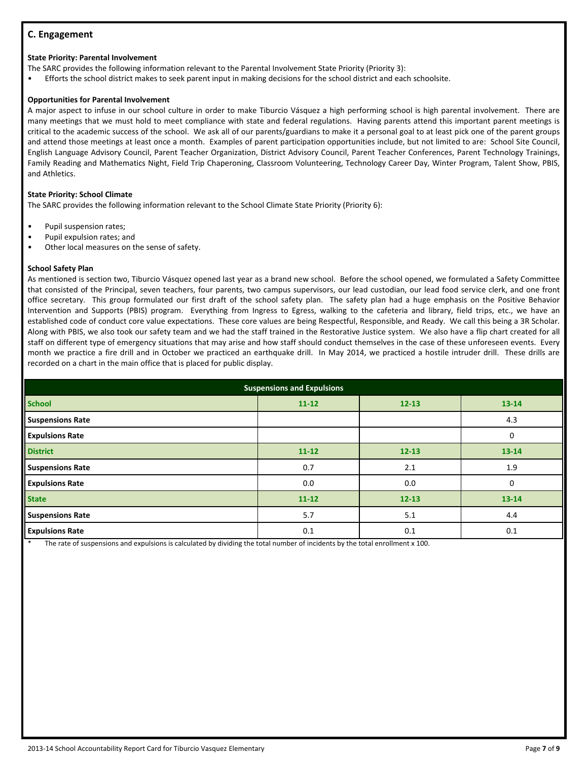# **C. Engagement**

#### **State Priority: Parental Involvement**

The SARC provides the following information relevant to the Parental Involvement State Priority (Priority 3):

• Efforts the school district makes to seek parent input in making decisions for the school district and each schoolsite.

#### **Opportunities for Parental Involvement**

A major aspect to infuse in our school culture in order to make Tiburcio Vásquez a high performing school is high parental involvement. There are many meetings that we must hold to meet compliance with state and federal regulations. Having parents attend this important parent meetings is critical to the academic success of the school. We ask all of our parents/guardians to make it a personal goal to at least pick one of the parent groups and attend those meetings at least once a month. Examples of parent participation opportunities include, but not limited to are: School Site Council, English Language Advisory Council, Parent Teacher Organization, District Advisory Council, Parent Teacher Conferences, Parent Technology Trainings, Family Reading and Mathematics Night, Field Trip Chaperoning, Classroom Volunteering, Technology Career Day, Winter Program, Talent Show, PBIS, and Athletics.

#### **State Priority: School Climate**

The SARC provides the following information relevant to the School Climate State Priority (Priority 6):

- Pupil suspension rates;
- Pupil expulsion rates; and
- Other local measures on the sense of safety.

#### **School Safety Plan**

As mentioned is section two, Tiburcio Vásquez opened last year as a brand new school. Before the school opened, we formulated a Safety Committee that consisted of the Principal, seven teachers, four parents, two campus supervisors, our lead custodian, our lead food service clerk, and one front office secretary. This group formulated our first draft of the school safety plan. The safety plan had a huge emphasis on the Positive Behavior Intervention and Supports (PBIS) program. Everything from Ingress to Egress, walking to the cafeteria and library, field trips, etc., we have an established code of conduct core value expectations. These core values are being Respectful, Responsible, and Ready. We call this being a 3R Scholar. Along with PBIS, we also took our safety team and we had the staff trained in the Restorative Justice system. We also have a flip chart created for all staff on different type of emergency situations that may arise and how staff should conduct themselves in the case of these unforeseen events. Every month we practice a fire drill and in October we practiced an earthquake drill. In May 2014, we practiced a hostile intruder drill. These drills are recorded on a chart in the main office that is placed for public display.

| <b>Suspensions and Expulsions</b> |           |           |           |  |  |  |
|-----------------------------------|-----------|-----------|-----------|--|--|--|
| <b>School</b>                     | $11 - 12$ | $12 - 13$ | $13 - 14$ |  |  |  |
| <b>Suspensions Rate</b>           |           |           | 4.3       |  |  |  |
| <b>Expulsions Rate</b>            |           |           | 0         |  |  |  |
| <b>District</b>                   | $11 - 12$ | $12 - 13$ | 13-14     |  |  |  |
| <b>Suspensions Rate</b>           | 0.7       | 2.1       | 1.9       |  |  |  |
| <b>Expulsions Rate</b>            | 0.0       | 0.0       | 0         |  |  |  |
| <b>State</b>                      | $11 - 12$ | $12 - 13$ | 13-14     |  |  |  |
| <b>Suspensions Rate</b>           | 5.7       | 5.1       | 4.4       |  |  |  |
| <b>Expulsions Rate</b>            | 0.1       | 0.1       | 0.1       |  |  |  |

The rate of suspensions and expulsions is calculated by dividing the total number of incidents by the total enrollment x 100.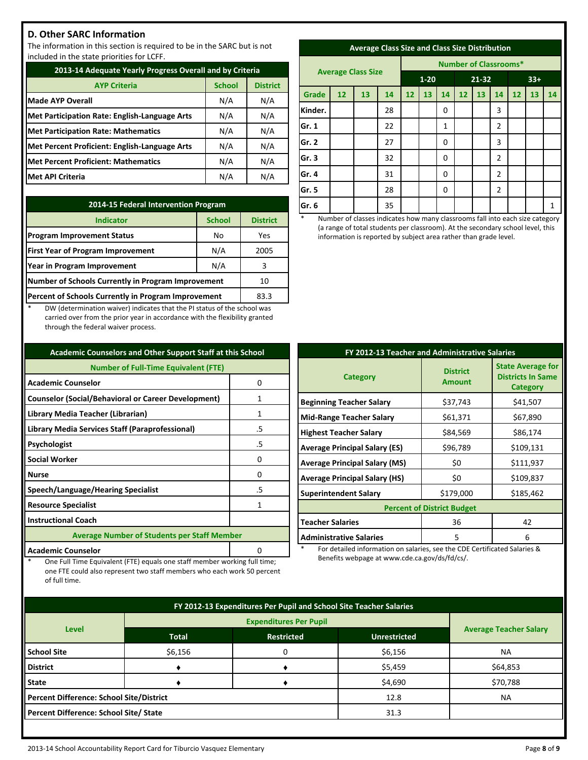## **D. Other SARC Information**

The information in this section is required to be in the SARC but is not included in the state priorities for LCFF.

| 2013-14 Adequate Yearly Progress Overall and by Criteria |               |                 |  |  |  |
|----------------------------------------------------------|---------------|-----------------|--|--|--|
| <b>AYP Criteria</b>                                      | <b>School</b> | <b>District</b> |  |  |  |
| <b>Made AYP Overall</b>                                  | N/A           | N/A             |  |  |  |
| Met Participation Rate: English-Language Arts            | N/A           | N/A             |  |  |  |
| <b>Met Participation Rate: Mathematics</b>               | N/A           | N/A             |  |  |  |
| Met Percent Proficient: English-Language Arts            | N/A           | N/A             |  |  |  |
| <b>Met Percent Proficient: Mathematics</b>               | N/A           | N/A             |  |  |  |
| <b>Met API Criteria</b>                                  | N/A           | N/A             |  |  |  |

| 2014-15 Federal Intervention Program                |               |                 |  |  |  |
|-----------------------------------------------------|---------------|-----------------|--|--|--|
| <b>Indicator</b>                                    | <b>School</b> | <b>District</b> |  |  |  |
| <b>Program Improvement Status</b>                   | No            | Yes             |  |  |  |
| <b>First Year of Program Improvement</b>            | N/A           | 2005            |  |  |  |
| Year in Program Improvement                         | N/A           | 3               |  |  |  |
| Number of Schools Currently in Program Improvement  | 10            |                 |  |  |  |
| Percent of Schools Currently in Program Improvement | 83.3          |                 |  |  |  |

DW (determination waiver) indicates that the PI status of the school was carried over from the prior year in accordance with the flexibility granted through the federal waiver process.

| <b>Academic Counselors and Other Support Staff at this School</b> |    |  |  |  |
|-------------------------------------------------------------------|----|--|--|--|
| <b>Number of Full-Time Equivalent (FTE)</b>                       |    |  |  |  |
| <b>Academic Counselor</b>                                         | 0  |  |  |  |
| <b>Counselor (Social/Behavioral or Career Development)</b>        | 1  |  |  |  |
| Library Media Teacher (Librarian)                                 | 1  |  |  |  |
| Library Media Services Staff (Paraprofessional)                   | .5 |  |  |  |
| Psychologist                                                      | .5 |  |  |  |
| <b>Social Worker</b>                                              | 0  |  |  |  |
| <b>Nurse</b>                                                      | ŋ  |  |  |  |
| Speech/Language/Hearing Specialist                                | .5 |  |  |  |
| <b>Resource Specialist</b><br>1                                   |    |  |  |  |
| <b>Instructional Coach</b>                                        |    |  |  |  |
| <b>Average Number of Students per Staff Member</b>                |    |  |  |  |
| <b>Academic Counselor</b>                                         |    |  |  |  |

One Full Time Equivalent (FTE) equals one staff member working full time; one FTE could also represent two staff members who each work 50 percent

of full time.

| <b>Average Class Size and Class Size Distribution</b> |  |   |  |
|-------------------------------------------------------|--|---|--|
|                                                       |  | . |  |

|         |    |                           |    | <b>Number of Classrooms*</b> |    |             |           |    |                |       |    |              |
|---------|----|---------------------------|----|------------------------------|----|-------------|-----------|----|----------------|-------|----|--------------|
|         |    | <b>Average Class Size</b> |    | $1 - 20$                     |    |             | $21 - 32$ |    |                | $33+$ |    |              |
| Grade   | 12 | 13                        | 14 | 12                           | 13 | 14          | 12        | 13 | 14             | 12    | 13 | 14           |
| Kinder. |    |                           | 28 |                              |    | 0           |           |    | 3              |       |    |              |
| Gr. 1   |    |                           | 22 |                              |    | 1           |           |    | $\overline{2}$ |       |    |              |
| Gr. 2   |    |                           | 27 |                              |    | 0           |           |    | 3              |       |    |              |
| Gr. 3   |    |                           | 32 |                              |    | $\Omega$    |           |    | $\overline{2}$ |       |    |              |
| Gr. 4   |    |                           | 31 |                              |    | $\Omega$    |           |    | $\overline{2}$ |       |    |              |
| Gr. 5   |    |                           | 28 |                              |    | $\mathbf 0$ |           |    | $\overline{2}$ |       |    |              |
| Gr. 6   |    |                           | 35 |                              |    |             |           |    |                |       |    | $\mathbf{1}$ |

Number of classes indicates how many classrooms fall into each size category (a range of total students per classroom). At the secondary school level, this information is reported by subject area rather than grade level.

| FY 2012-13 Teacher and Administrative Salaries      |           |                                                                         |  |  |  |
|-----------------------------------------------------|-----------|-------------------------------------------------------------------------|--|--|--|
| <b>District</b><br><b>Category</b><br><b>Amount</b> |           | <b>State Average for</b><br><b>Districts In Same</b><br><b>Category</b> |  |  |  |
| <b>Beginning Teacher Salary</b>                     | \$37,743  | \$41,507                                                                |  |  |  |
| <b>Mid-Range Teacher Salary</b>                     | \$61,371  | \$67,890                                                                |  |  |  |
| <b>Highest Teacher Salary</b>                       | \$84,569  | \$86,174                                                                |  |  |  |
| <b>Average Principal Salary (ES)</b>                | \$96,789  | \$109,131                                                               |  |  |  |
| <b>Average Principal Salary (MS)</b>                | \$0       | \$111,937                                                               |  |  |  |
| <b>Average Principal Salary (HS)</b>                | \$0       | \$109,837                                                               |  |  |  |
| <b>Superintendent Salary</b>                        | \$179,000 | \$185,462                                                               |  |  |  |
| <b>Percent of District Budget</b>                   |           |                                                                         |  |  |  |
| <b>Teacher Salaries</b>                             | 36        | 42                                                                      |  |  |  |
| <b>Administrative Salaries</b>                      | 5         | 6                                                                       |  |  |  |

For detailed information on salaries, see the CDE Certificated Salaries & Benefits webpage at www.cde.ca.gov/ds/fd/cs/.

| FY 2012-13 Expenditures Per Pupil and School Site Teacher Salaries |              |                   |                     |                               |  |  |
|--------------------------------------------------------------------|--------------|-------------------|---------------------|-------------------------------|--|--|
|                                                                    |              |                   |                     |                               |  |  |
| <b>Level</b>                                                       | <b>Total</b> | <b>Restricted</b> | <b>Unrestricted</b> | <b>Average Teacher Salary</b> |  |  |
| <b>School Site</b>                                                 | \$6,156      | 0                 | \$6,156             | <b>NA</b>                     |  |  |
| <b>District</b>                                                    |              |                   | \$5,459             | \$64,853                      |  |  |
| State                                                              |              |                   | \$4,690             | \$70,788                      |  |  |
| Percent Difference: School Site/District                           |              |                   | 12.8                | <b>NA</b>                     |  |  |
| Percent Difference: School Site/ State                             |              |                   | 31.3                |                               |  |  |